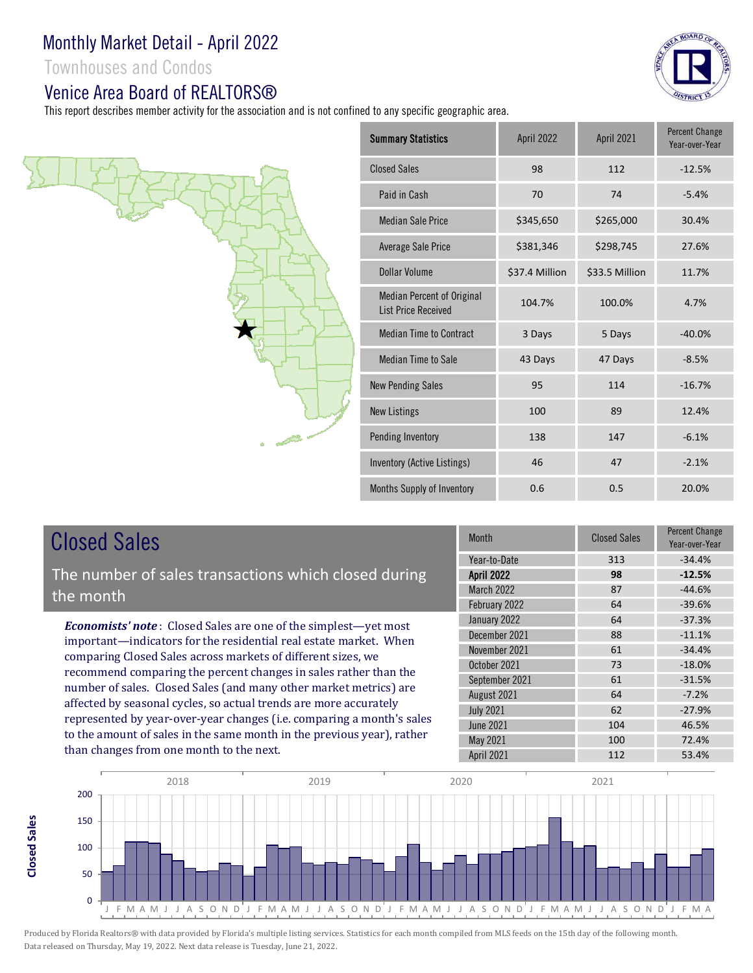Townhouses and Condos

#### Venice Area Board of REALTORS®

This report describes member activity for the association and is not confined to any specific geographic area.



| <b>Summary Statistics</b>                                | April 2022     | April 2021     | <b>Percent Change</b><br>Year-over-Year |
|----------------------------------------------------------|----------------|----------------|-----------------------------------------|
| <b>Closed Sales</b>                                      | 98             | 112            | $-12.5%$                                |
| Paid in Cash                                             | 70             | 74             | $-5.4%$                                 |
| <b>Median Sale Price</b>                                 | \$345,650      | \$265,000      | 30.4%                                   |
| Average Sale Price                                       | \$381,346      | \$298,745      | 27.6%                                   |
| <b>Dollar Volume</b>                                     | \$37.4 Million | \$33.5 Million | 11.7%                                   |
| Median Percent of Original<br><b>List Price Received</b> | 104.7%         | 100.0%         | 4.7%                                    |
| Median Time to Contract                                  | 3 Days         | 5 Days         | $-40.0%$                                |
| Median Time to Sale                                      | 43 Days        | 47 Days        | $-8.5%$                                 |
| <b>New Pending Sales</b>                                 | 95             | 114            | $-16.7%$                                |
| New Listings                                             | 100            | 89             | 12.4%                                   |
| Pending Inventory                                        | 138            | 147            | $-6.1%$                                 |
| Inventory (Active Listings)                              | 46             | 47             | $-2.1%$                                 |
| Months Supply of Inventory                               | 0.6            | 0.5            | 20.0%                                   |
|                                                          |                |                |                                         |

# Closed Sales

**Closed Sales**

**Closed Sales** 

The number of sales transactions which closed during the month

*Economists' note* : Closed Sales are one of the simplest—yet most important—indicators for the residential real estate market. When comparing Closed Sales across markets of different sizes, we recommend comparing the percent changes in sales rather than the number of sales. Closed Sales (and many other market metrics) are affected by seasonal cycles, so actual trends are more accurately represented by year-over-year changes (i.e. comparing a month's sales to the amount of sales in the same month in the previous year), rather than changes from one month to the next.

| Month             | <b>Closed Sales</b> | Percent Change<br>Year-over-Year |
|-------------------|---------------------|----------------------------------|
| Year-to-Date      | 313                 | $-34.4%$                         |
| <b>April 2022</b> | 98                  | $-12.5%$                         |
| <b>March 2022</b> | 87                  | $-44.6%$                         |
| February 2022     | 64                  | $-39.6%$                         |
| January 2022      | 64                  | $-37.3%$                         |
| December 2021     | 88                  | $-11.1%$                         |
| November 2021     | 61                  | $-34.4%$                         |
| October 2021      | 73                  | $-18.0%$                         |
| September 2021    | 61                  | $-31.5%$                         |
| August 2021       | 64                  | $-7.2%$                          |
| <b>July 2021</b>  | 62                  | $-27.9%$                         |
| <b>June 2021</b>  | 104                 | 46.5%                            |
| May 2021          | 100                 | 72.4%                            |
| April 2021        | 112                 | 53.4%                            |



Produced by Florida Realtors® with data provided by Florida's multiple listing services. Statistics for each month compiled from MLS feeds on the 15th day of the following month. Data released on Thursday, May 19, 2022. Next data release is Tuesday, June 21, 2022.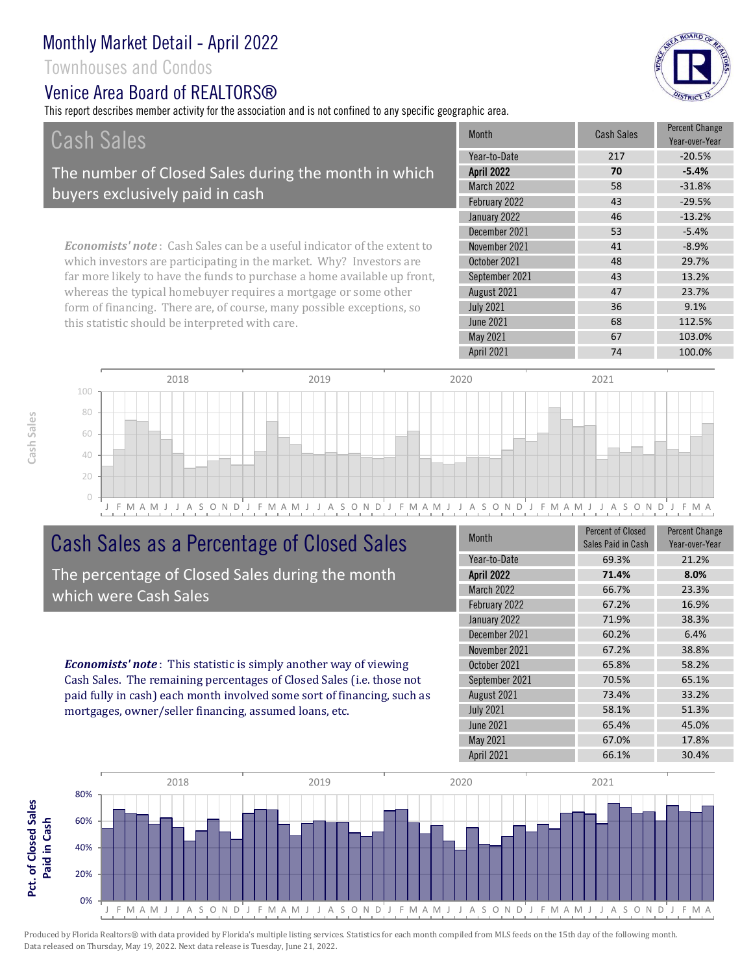Townhouses and Condos

#### Venice Area Board of RFAI TORS®

This report describes member activity for the association and is not confined to any specific geographic area.



| Cash Sales                                                                     | <b>Month</b>      | <b>Cash Sales</b> | <b>Percent Change</b><br>Year-over-Year |
|--------------------------------------------------------------------------------|-------------------|-------------------|-----------------------------------------|
|                                                                                | Year-to-Date      | 217               | $-20.5%$                                |
| The number of Closed Sales during the month in which                           | <b>April 2022</b> | 70                | $-5.4%$                                 |
| buyers exclusively paid in cash                                                | <b>March 2022</b> | 58                | $-31.8%$                                |
|                                                                                | February 2022     | 43                | $-29.5%$                                |
|                                                                                | January 2022      | 46                | $-13.2%$                                |
|                                                                                | December 2021     | 53                | $-5.4%$                                 |
| <b>Economists' note:</b> Cash Sales can be a useful indicator of the extent to | November 2021     | 41                | $-8.9%$                                 |
| which investors are participating in the market. Why? Investors are            | October 2021      | 48                | 29.7%                                   |
| far more likely to have the funds to purchase a home available up front,       | September 2021    | 43                | 13.2%                                   |
| whereas the typical homebuyer requires a mortgage or some other                | August 2021       | 47                | 23.7%                                   |
| form of financing. There are, of course, many possible exceptions, so          | <b>July 2021</b>  | 36                | 9.1%                                    |
| this statistic should be interpreted with care.                                | <b>June 2021</b>  | 68                | 112.5%                                  |



# Cash Sales as a Percentage of Closed Sales

The percentage of Closed Sales during the month which were Cash Sales

*Economists' note* : This statistic is simply another way of viewing Cash Sales. The remaining percentages of Closed Sales (i.e. those not paid fully in cash) each month involved some sort of financing, such as mortgages, owner/seller financing, assumed loans, etc.

| <b>Month</b>      | <b>Percent of Closed</b><br>Sales Paid in Cash | <b>Percent Change</b><br>Year-over-Year |
|-------------------|------------------------------------------------|-----------------------------------------|
| Year-to-Date      | 69.3%                                          | 21.2%                                   |
| <b>April 2022</b> | 71.4%                                          | 8.0%                                    |
| <b>March 2022</b> | 66.7%                                          | 23.3%                                   |
| February 2022     | 67.2%                                          | 16.9%                                   |
| January 2022      | 71.9%                                          | 38.3%                                   |
| December 2021     | 60.2%                                          | 6.4%                                    |
| November 2021     | 67.2%                                          | 38.8%                                   |
| October 2021      | 65.8%                                          | 58.2%                                   |
| September 2021    | 70.5%                                          | 65.1%                                   |
| August 2021       | 73.4%                                          | 33.2%                                   |
| <b>July 2021</b>  | 58.1%                                          | 51.3%                                   |
| <b>June 2021</b>  | 65.4%                                          | 45.0%                                   |
| May 2021          | 67.0%                                          | 17.8%                                   |
| April 2021        | 66.1%                                          | 30.4%                                   |

May 2021 67 103.0%



**Cash Sales**

Produced by Florida Realtors® with data provided by Florida's multiple listing services. Statistics for each month compiled from MLS feeds on the 15th day of the following month. Data released on Thursday, May 19, 2022. Next data release is Tuesday, June 21, 2022.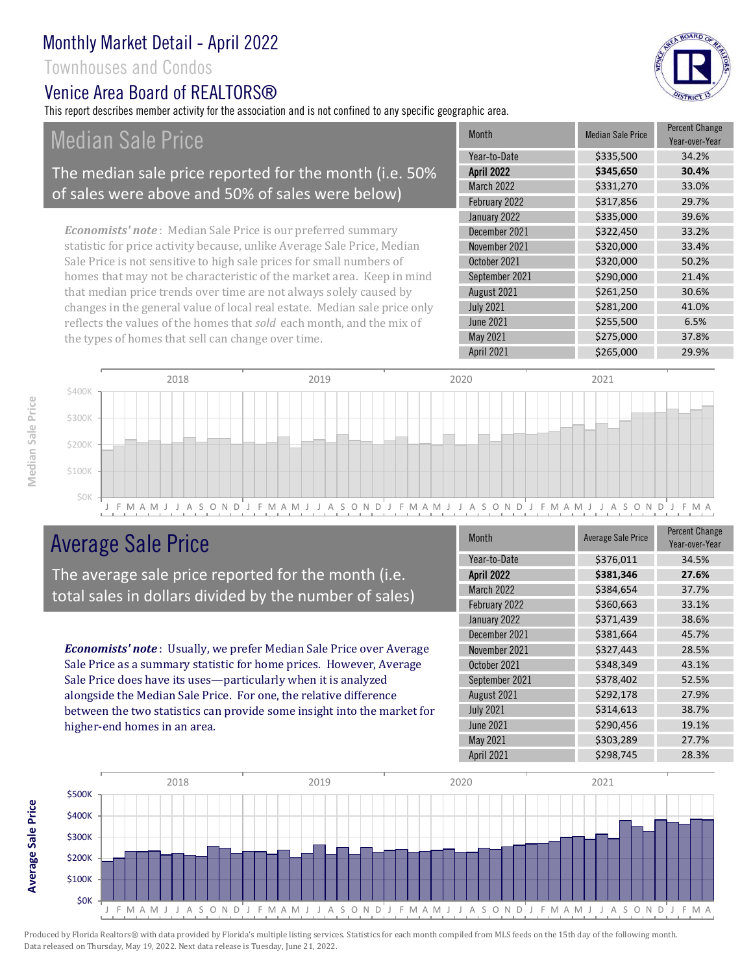Townhouses and Condos

### Venice Area Board of RFAI TORS®

This report describes member activity for the association and is not confined to any specific geographic area.

Median Sale Price

#### The median sale price reported for the month (i.e. 50% of sales were above and 50% of sales were below)

*Economists' note* : Median Sale Price is our preferred summary statistic for price activity because, unlike Average Sale Price, Median Sale Price is not sensitive to high sale prices for small numbers of homes that may not be characteristic of the market area. Keep in mind that median price trends over time are not always solely caused by changes in the general value of local real estate. Median sale price only reflects the values of the homes that *sold* each month, and the mix of the types of homes that sell can change over time.

| <b>Month</b>      | <b>Median Sale Price</b> | <b>Percent Change</b><br>Year-over-Year |
|-------------------|--------------------------|-----------------------------------------|
| Year-to-Date      | \$335,500                | 34.2%                                   |
| <b>April 2022</b> | \$345,650                | 30.4%                                   |
| <b>March 2022</b> | \$331,270                | 33.0%                                   |
| February 2022     | \$317,856                | 29.7%                                   |
| January 2022      | \$335,000                | 39.6%                                   |
| December 2021     | \$322,450                | 33.2%                                   |
| November 2021     | \$320,000                | 33.4%                                   |
| October 2021      | \$320,000                | 50.2%                                   |
| September 2021    | \$290,000                | 21.4%                                   |
| August 2021       | \$261,250                | 30.6%                                   |
| <b>July 2021</b>  | \$281,200                | 41.0%                                   |
| <b>June 2021</b>  | \$255,500                | 6.5%                                    |
| May 2021          | \$275,000                | 37.8%                                   |
| April 2021        | \$265,000                | 29.9%                                   |



# Average Sale Price

The average sale price reported for the month (i.e. total sales in dollars divided by the number of sales)

*Economists' note* : Usually, we prefer Median Sale Price over Average Sale Price as a summary statistic for home prices. However, Average Sale Price does have its uses—particularly when it is analyzed alongside the Median Sale Price. For one, the relative difference between the two statistics can provide some insight into the market for higher-end homes in an area.

| <b>Month</b>      | <b>Average Sale Price</b> | <b>Percent Change</b><br>Year-over-Year |
|-------------------|---------------------------|-----------------------------------------|
| Year-to-Date      | \$376,011                 | 34.5%                                   |
| <b>April 2022</b> | \$381,346                 | 27.6%                                   |
| March 2022        | \$384,654                 | 37.7%                                   |
| February 2022     | \$360,663                 | 33.1%                                   |
| January 2022      | \$371,439                 | 38.6%                                   |
| December 2021     | \$381,664                 | 45.7%                                   |
| November 2021     | \$327,443                 | 28.5%                                   |
| October 2021      | \$348,349                 | 43.1%                                   |
| September 2021    | \$378,402                 | 52.5%                                   |
| August 2021       | \$292,178                 | 27.9%                                   |
| <b>July 2021</b>  | \$314,613                 | 38.7%                                   |
| <b>June 2021</b>  | \$290,456                 | 19.1%                                   |
| May 2021          | \$303,289                 | 27.7%                                   |
| <b>April 2021</b> | \$298,745                 | 28.3%                                   |



Produced by Florida Realtors® with data provided by Florida's multiple listing services. Statistics for each month compiled from MLS feeds on the 15th day of the following month. Data released on Thursday, May 19, 2022. Next data release is Tuesday, June 21, 2022.

**Average Sale Price**

**Average Sale Price** 

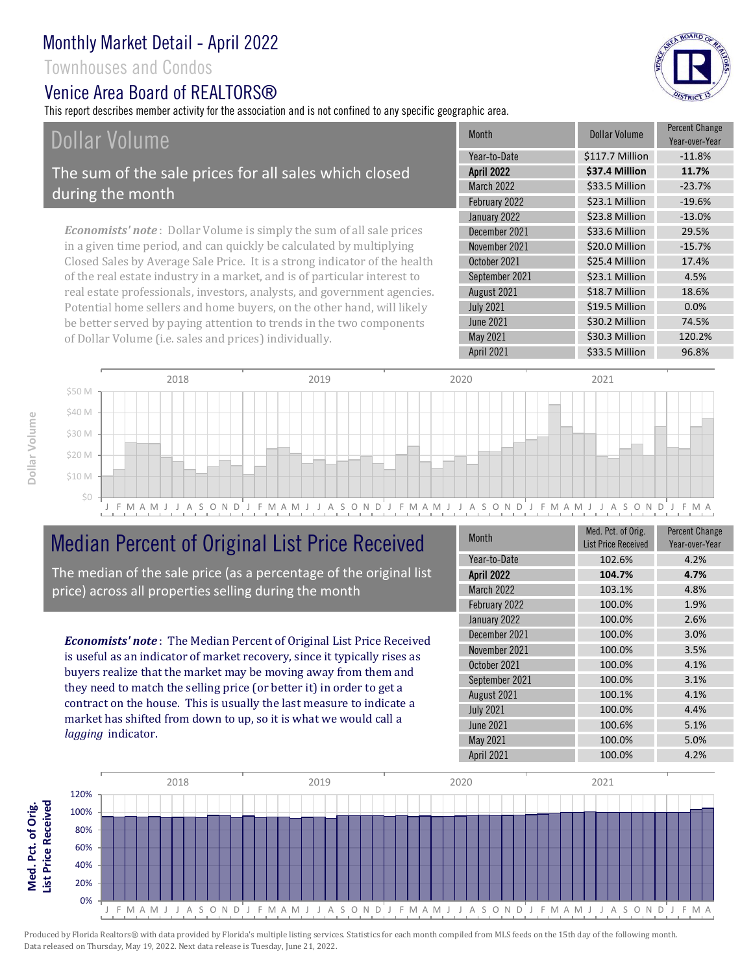Townhouses and Condos

#### Venice Area Board of RFAI TORS®

This report describes member activity for the association and is not confined to any specific geographic area.

# Dollar Volume

The sum of the sale prices for all sales which closed during the month

*Economists' note* : Dollar Volume is simply the sum of all sale prices in a given time period, and can quickly be calculated by multiplying Closed Sales by Average Sale Price. It is a strong indicator of the health of the real estate industry in a market, and is of particular interest to real estate professionals, investors, analysts, and government agencies. Potential home sellers and home buyers, on the other hand, will likely be better served by paying attention to trends in the two components of Dollar Volume (i.e. sales and prices) individually.

| <b>Month</b>      | Dollar Volume   | <b>Percent Change</b><br>Year-over-Year |
|-------------------|-----------------|-----------------------------------------|
| Year-to-Date      | \$117.7 Million | $-11.8%$                                |
| <b>April 2022</b> | \$37.4 Million  | 11.7%                                   |
| <b>March 2022</b> | \$33.5 Million  | $-23.7%$                                |
| February 2022     | \$23.1 Million  | $-19.6%$                                |
| January 2022      | \$23.8 Million  | $-13.0%$                                |
| December 2021     | \$33.6 Million  | 29.5%                                   |
| November 2021     | \$20.0 Million  | $-15.7%$                                |
| October 2021      | \$25.4 Million  | 17.4%                                   |
| September 2021    | \$23.1 Million  | 4.5%                                    |
| August 2021       | \$18.7 Million  | 18.6%                                   |
| <b>July 2021</b>  | \$19.5 Million  | 0.0%                                    |
| <b>June 2021</b>  | \$30.2 Million  | 74.5%                                   |
| May 2021          | \$30.3 Million  | 120.2%                                  |
| April 2021        | \$33.5 Million  | 96.8%                                   |



## Median Percent of Original List Price Received

The median of the sale price (as a percentage of the original list price) across all properties selling during the month

*Economists' note* : The Median Percent of Original List Price Received is useful as an indicator of market recovery, since it typically rises as buyers realize that the market may be moving away from them and they need to match the selling price (or better it) in order to get a contract on the house. This is usually the last measure to indicate a market has shifted from down to up, so it is what we would call a *lagging* indicator.

| <b>Month</b>      | Med. Pct. of Orig.<br><b>List Price Received</b> | <b>Percent Change</b><br>Year-over-Year |
|-------------------|--------------------------------------------------|-----------------------------------------|
| Year-to-Date      | 102.6%                                           | 4.2%                                    |
| <b>April 2022</b> | 104.7%                                           | 4.7%                                    |
| <b>March 2022</b> | 103.1%                                           | 4.8%                                    |
| February 2022     | 100.0%                                           | 1.9%                                    |
| January 2022      | 100.0%                                           | 2.6%                                    |
| December 2021     | 100.0%                                           | 3.0%                                    |
| November 2021     | 100.0%                                           | 3.5%                                    |
| October 2021      | 100.0%                                           | 4.1%                                    |
| September 2021    | 100.0%                                           | 3.1%                                    |
| August 2021       | 100.1%                                           | 4.1%                                    |
| <b>July 2021</b>  | 100.0%                                           | 4.4%                                    |
| <b>June 2021</b>  | 100.6%                                           | 5.1%                                    |
| May 2021          | 100.0%                                           | 5.0%                                    |
| April 2021        | 100.0%                                           | 4.2%                                    |





**Med. Pct. of Orig.**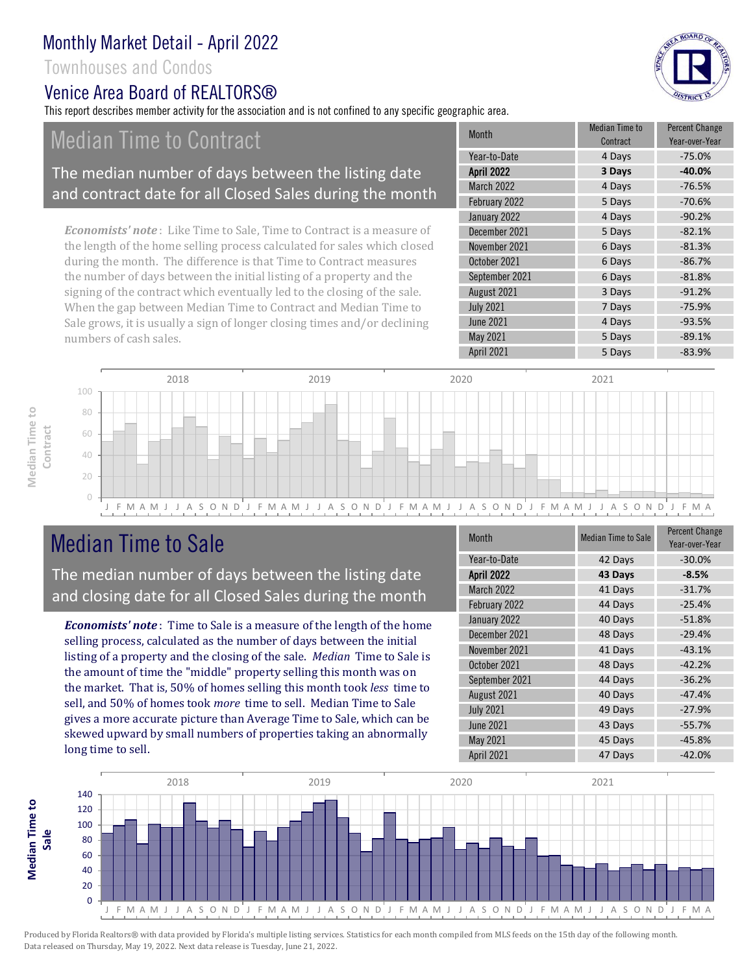Townhouses and Condos

### Venice Area Board of REALTORS®

This report describes member activity for the association and is not confined to any specific geographic area.

# Median Time to Contract

#### The median number of days between the listing date and contract date for all Closed Sales during the month

*Economists' note* : Like Time to Sale, Time to Contract is a measure of the length of the home selling process calculated for sales which closed during the month. The difference is that Time to Contract measures the number of days between the initial listing of a property and the signing of the contract which eventually led to the closing of the sale. When the gap between Median Time to Contract and Median Time to Sale grows, it is usually a sign of longer closing times and/or declining numbers of cash sales.

| <b>Month</b>      | <b>Median Time to</b><br>Contract | <b>Percent Change</b><br>Year-over-Year |
|-------------------|-----------------------------------|-----------------------------------------|
| Year-to-Date      | 4 Days                            | $-75.0%$                                |
| <b>April 2022</b> | 3 Days                            | $-40.0%$                                |
| <b>March 2022</b> | 4 Days                            | $-76.5%$                                |
| February 2022     | 5 Days                            | $-70.6%$                                |
| January 2022      | 4 Days                            | $-90.2%$                                |
| December 2021     | 5 Days                            | $-82.1%$                                |
| November 2021     | 6 Days                            | $-81.3%$                                |
| October 2021      | 6 Days                            | $-86.7%$                                |
| September 2021    | 6 Days                            | $-81.8%$                                |
| August 2021       | 3 Days                            | $-91.2%$                                |
| <b>July 2021</b>  | 7 Days                            | $-75.9%$                                |
| <b>June 2021</b>  | 4 Days                            | $-93.5%$                                |
| May 2021          | 5 Days                            | $-89.1%$                                |
| April 2021        | 5 Days                            | $-83.9%$                                |



# Median Time to Sale

**Median Time to** 

Median Time to

The median number of days between the listing date and closing date for all Closed Sales during the month

*Economists' note* : Time to Sale is a measure of the length of the home selling process, calculated as the number of days between the initial listing of a property and the closing of the sale. *Median* Time to Sale is the amount of time the "middle" property selling this month was on the market. That is, 50% of homes selling this month took *less* time to sell, and 50% of homes took *more* time to sell. Median Time to Sale gives a more accurate picture than Average Time to Sale, which can be skewed upward by small numbers of properties taking an abnormally long time to sell.

| <b>Month</b>      | <b>Median Time to Sale</b> | <b>Percent Change</b><br>Year-over-Year |
|-------------------|----------------------------|-----------------------------------------|
| Year-to-Date      | 42 Days                    | $-30.0%$                                |
| <b>April 2022</b> | 43 Days                    | $-8.5%$                                 |
| <b>March 2022</b> | 41 Days                    | $-31.7%$                                |
| February 2022     | 44 Days                    | $-25.4%$                                |
| January 2022      | 40 Days                    | $-51.8%$                                |
| December 2021     | 48 Days                    | $-29.4%$                                |
| November 2021     | 41 Days                    | $-43.1%$                                |
| October 2021      | 48 Days                    | $-42.2%$                                |
| September 2021    | 44 Days                    | $-36.2%$                                |
| August 2021       | 40 Days                    | $-47.4%$                                |
| <b>July 2021</b>  | 49 Days                    | $-27.9%$                                |
| <b>June 2021</b>  | 43 Days                    | $-55.7%$                                |
| May 2021          | 45 Days                    | $-45.8%$                                |
| April 2021        | 47 Days                    | $-42.0%$                                |



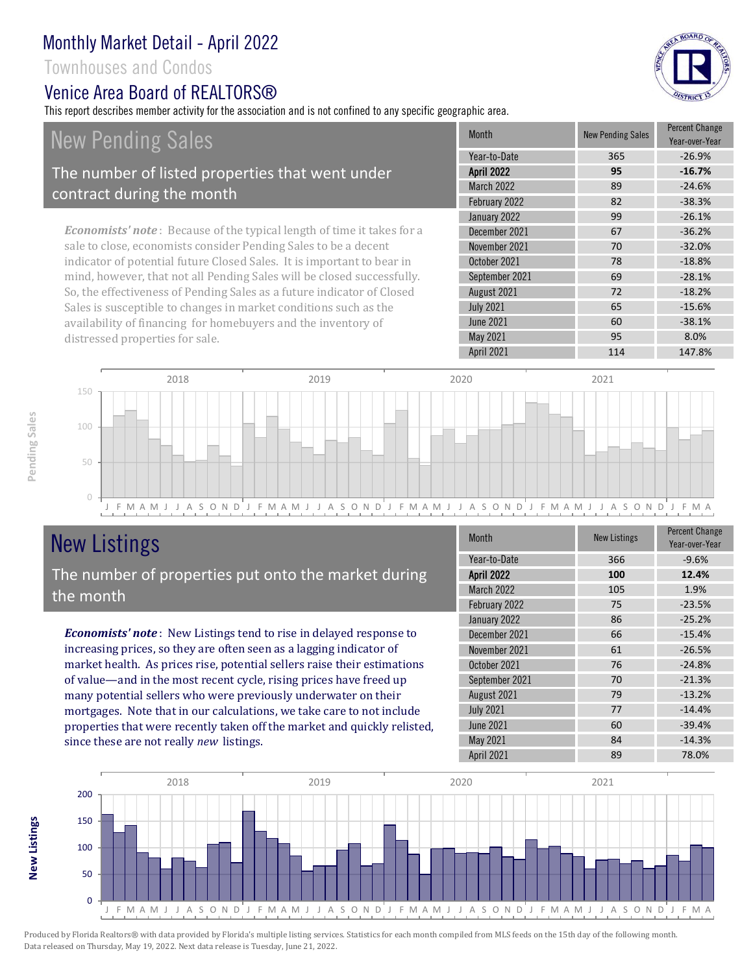Townhouses and Condos

#### Venice Area Board of REALTORS®

This report describes member activity for the association and is not confined to any specific geographic area.

BOARD OF

### New Pending Sales The number of listed properties that went under contract during the month

*Economists' note* : Because of the typical length of time it takes for a sale to close, economists consider Pending Sales to be a decent indicator of potential future Closed Sales. It is important to bear in mind, however, that not all Pending Sales will be closed successfully. So, the effectiveness of Pending Sales as a future indicator of Closed Sales is susceptible to changes in market conditions such as the availability of financing for homebuyers and the inventory of distressed properties for sale.

| Month             | <b>New Pending Sales</b> | <b>Percent Change</b><br>Year-over-Year |
|-------------------|--------------------------|-----------------------------------------|
| Year-to-Date      | 365                      | $-26.9%$                                |
| <b>April 2022</b> | 95                       | $-16.7%$                                |
| <b>March 2022</b> | 89                       | $-24.6%$                                |
| February 2022     | 82                       | $-38.3%$                                |
| January 2022      | 99                       | $-26.1%$                                |
| December 2021     | 67                       | $-36.2%$                                |
| November 2021     | 70                       | $-32.0%$                                |
| October 2021      | 78                       | $-18.8%$                                |
| September 2021    | 69                       | $-28.1%$                                |
| August 2021       | 72                       | $-18.2%$                                |
| <b>July 2021</b>  | 65                       | $-15.6%$                                |
| <b>June 2021</b>  | 60                       | $-38.1%$                                |
| May 2021          | 95                       | 8.0%                                    |
| April 2021        | 114                      | 147.8%                                  |



# New Listings

The number of properties put onto the market during the month

*Economists' note* : New Listings tend to rise in delayed response to increasing prices, so they are often seen as a lagging indicator of market health. As prices rise, potential sellers raise their estimations of value—and in the most recent cycle, rising prices have freed up many potential sellers who were previously underwater on their mortgages. Note that in our calculations, we take care to not include properties that were recently taken off the market and quickly relisted, since these are not really *new* listings.

| <b>Month</b>      | <b>New Listings</b> | <b>Percent Change</b><br>Year-over-Year |
|-------------------|---------------------|-----------------------------------------|
| Year-to-Date      | 366                 | $-9.6%$                                 |
| <b>April 2022</b> | 100                 | 12.4%                                   |
| March 2022        | 105                 | 1.9%                                    |
| February 2022     | 75                  | $-23.5%$                                |
| January 2022      | 86                  | $-25.2%$                                |
| December 2021     | 66                  | $-15.4%$                                |
| November 2021     | 61                  | $-26.5%$                                |
| October 2021      | 76                  | $-24.8%$                                |
| September 2021    | 70                  | $-21.3%$                                |
| August 2021       | 79                  | $-13.2%$                                |
| <b>July 2021</b>  | 77                  | $-14.4%$                                |
| <b>June 2021</b>  | 60                  | $-39.4%$                                |
| May 2021          | 84                  | $-14.3%$                                |
| April 2021        | 89                  | 78.0%                                   |



**New Listings**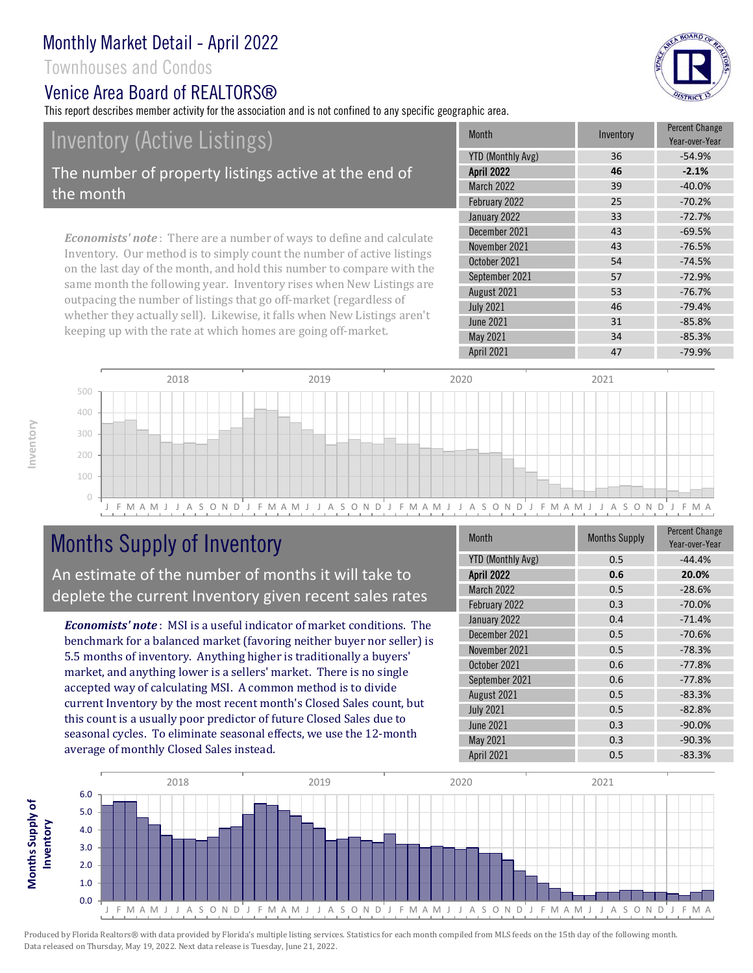Townhouses and Condos

#### Venice Area Board of REALTORS®

This report describes member activity for the association and is not confined to any specific geographic area.

Inventory (Active Listings)

The number of property listings active at the end of the month

*Economists' note* : There are a number of ways to define and calculate Inventory. Our method is to simply count the number of active listings on the last day of the month, and hold this number to compare with the same month the following year. Inventory rises when New Listings are outpacing the number of listings that go off-market (regardless of whether they actually sell). Likewise, it falls when New Listings aren't keeping up with the rate at which homes are going off-market.

| <b>Month</b>      | Inventory | <b>Percent Change</b><br>Year-over-Year |
|-------------------|-----------|-----------------------------------------|
| YTD (Monthly Avg) | 36        | $-54.9%$                                |
| <b>April 2022</b> | 46        | $-2.1%$                                 |
| <b>March 2022</b> | 39        | $-40.0%$                                |
| February 2022     | 25        | $-70.2%$                                |
| January 2022      | 33        | $-72.7%$                                |
| December 2021     | 43        | $-69.5%$                                |
| November 2021     | 43        | $-76.5%$                                |
| October 2021      | 54        | $-74.5%$                                |
| September 2021    | 57        | $-72.9%$                                |
| August 2021       | 53        | $-76.7%$                                |
| <b>July 2021</b>  | 46        | $-79.4%$                                |
| <b>June 2021</b>  | 31        | $-85.8%$                                |
| May 2021          | 34        | $-85.3%$                                |
| April 2021        | 47        | $-79.9%$                                |



# Months Supply of Inventory

An estimate of the number of months it will take to deplete the current Inventory given recent sales rates

*Economists' note* : MSI is a useful indicator of market conditions. The benchmark for a balanced market (favoring neither buyer nor seller) is 5.5 months of inventory. Anything higher is traditionally a buyers' market, and anything lower is a sellers' market. There is no single accepted way of calculating MSI. A common method is to divide current Inventory by the most recent month's Closed Sales count, but this count is a usually poor predictor of future Closed Sales due to seasonal cycles. To eliminate seasonal effects, we use the 12-month average of monthly Closed Sales instead.

| Month                    | <b>Months Supply</b> | <b>Percent Change</b><br>Year-over-Year |
|--------------------------|----------------------|-----------------------------------------|
| <b>YTD (Monthly Avg)</b> | 0.5                  | $-44.4%$                                |
| <b>April 2022</b>        | 0.6                  | 20.0%                                   |
| March 2022               | 0.5                  | $-28.6%$                                |
| February 2022            | 0.3                  | $-70.0%$                                |
| January 2022             | 0.4                  | $-71.4%$                                |
| December 2021            | 0.5                  | $-70.6%$                                |
| November 2021            | 0.5                  | $-78.3%$                                |
| October 2021             | 0.6                  | $-77.8%$                                |
| September 2021           | 0.6                  | $-77.8%$                                |
| August 2021              | 0.5                  | $-83.3%$                                |
| <b>July 2021</b>         | 0.5                  | $-82.8%$                                |
| <b>June 2021</b>         | 0.3                  | $-90.0%$                                |
| May 2021                 | 0.3                  | $-90.3%$                                |
| April 2021               | 0.5                  | $-83.3%$                                |



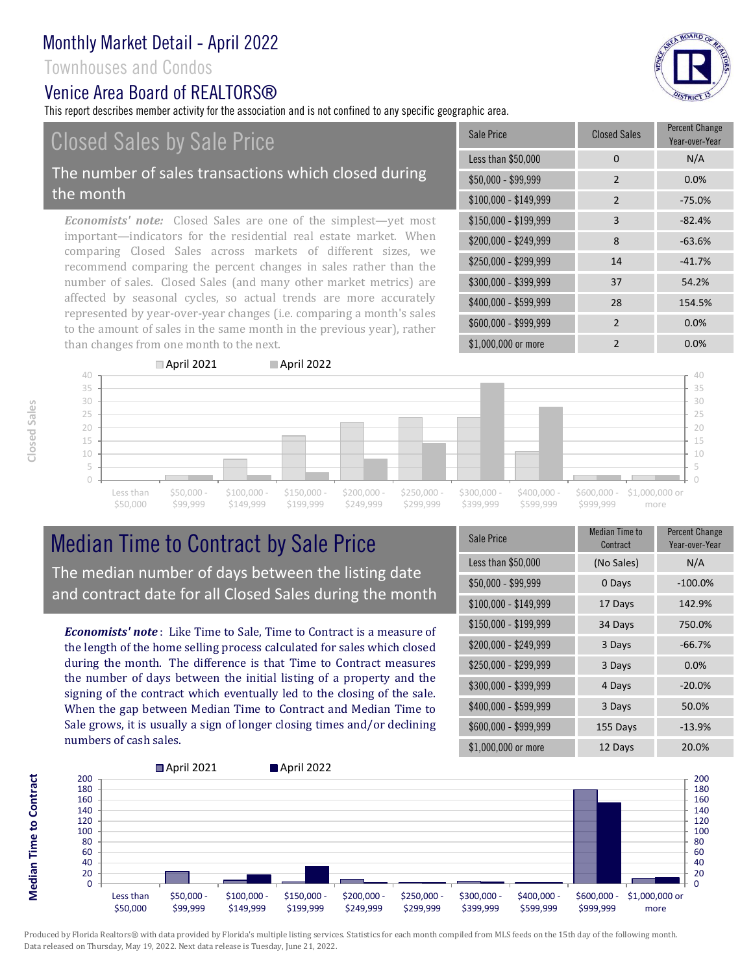#### Townhouses and Condos

#### Venice Area Board of REALTORS®

This report describes member activity for the association and is not confined to any specific geographic area.

# Closed Sales by Sale Price

#### The number of sales transactions which closed during the month

*Economists' note:* Closed Sales are one of the simplest—yet most important—indicators for the residential real estate market. When comparing Closed Sales across markets of different sizes, we recommend comparing the percent changes in sales rather than the number of sales. Closed Sales (and many other market metrics) are affected by seasonal cycles, so actual trends are more accurately represented by year-over-year changes (i.e. comparing a month's sales to the amount of sales in the same month in the previous year), rather than changes from one month to the next.

| Sale Price            | <b>Closed Sales</b> | <b>Percent Change</b><br>Year-over-Year |
|-----------------------|---------------------|-----------------------------------------|
| Less than \$50,000    | 0                   | N/A                                     |
| \$50,000 - \$99,999   | $\overline{2}$      | 0.0%                                    |
| $$100,000 - $149,999$ | $\overline{2}$      | $-75.0%$                                |
| \$150,000 - \$199,999 | 3                   | $-82.4%$                                |
| \$200,000 - \$249,999 | 8                   | $-63.6%$                                |
| \$250,000 - \$299,999 | 14                  | $-41.7%$                                |
| \$300,000 - \$399,999 | 37                  | 54.2%                                   |
| \$400,000 - \$599,999 | 28                  | 154.5%                                  |
| \$600,000 - \$999,999 | $\overline{2}$      | 0.0%                                    |
| \$1,000,000 or more   | $\overline{2}$      | $0.0\%$                                 |



### Median Time to Contract by Sale Price The median number of days between the listing date and contract date for all Closed Sales during the month

*Economists' note* : Like Time to Sale, Time to Contract is a measure of the length of the home selling process calculated for sales which closed during the month. The difference is that Time to Contract measures the number of days between the initial listing of a property and the signing of the contract which eventually led to the closing of the sale. When the gap between Median Time to Contract and Median Time to Sale grows, it is usually a sign of longer closing times and/or declining numbers of cash sales.

| <b>Sale Price</b>     | <b>Median Time to</b><br>Contract | <b>Percent Change</b><br>Year-over-Year |
|-----------------------|-----------------------------------|-----------------------------------------|
| Less than \$50,000    | (No Sales)                        | N/A                                     |
| \$50,000 - \$99,999   | 0 Days                            | $-100.0%$                               |
| $$100,000 - $149,999$ | 17 Days                           | 142.9%                                  |
| $$150,000 - $199,999$ | 34 Days                           | 750.0%                                  |
| \$200,000 - \$249,999 | 3 Days                            | $-66.7%$                                |
| \$250,000 - \$299,999 | 3 Days                            | 0.0%                                    |
| \$300,000 - \$399,999 | 4 Days                            | $-20.0%$                                |
| \$400,000 - \$599,999 | 3 Days                            | 50.0%                                   |
| \$600,000 - \$999,999 | 155 Days                          | $-13.9%$                                |
| \$1,000,000 or more   | 12 Days                           | 20.0%                                   |



Produced by Florida Realtors® with data provided by Florida's multiple listing services. Statistics for each month compiled from MLS feeds on the 15th day of the following month. Data released on Thursday, May 19, 2022. Next data release is Tuesday, June 21, 2022.

**Median Time to Contract Median Time to Contract**

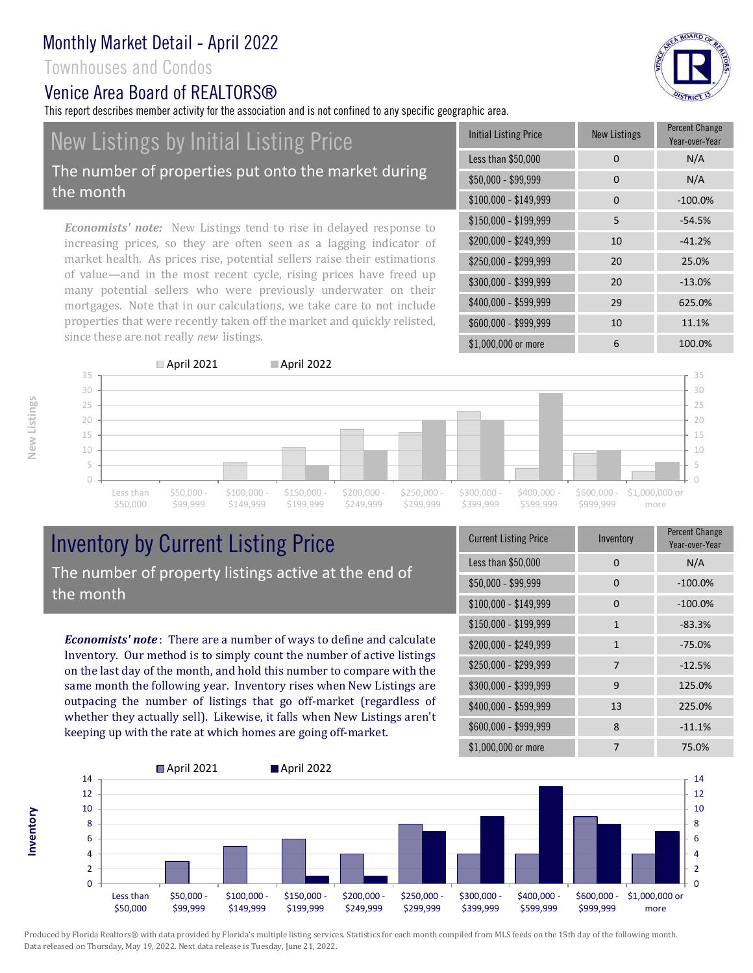#### Townhouses and Condos

the month

#### Venice Area Board of REALTORS®

since these are not really *new* listings.

This report describes member activity for the association and is not confined to any specific geographic area.

#### *Economists' note:* New Listings tend to rise in delayed response to increasing prices, so they are often seen as a lagging indicator of market health. As prices rise, potential sellers raise their estimations of value—and in the most recent cycle, rising prices have freed up many potential sellers who were previously underwater on their \$150,000 - \$199,999 5 -54.5% \$200,000 - \$249,999 10 -41.2% \$250,000 - \$299,999 20 25.0% \$300,000 - \$399,999 20 -13.0% \$400,000 - \$599,999 29 625.0% \$50,000 - \$99,999 0 0 N/A \$100,000 - \$149,999 0 -100.0% Initial Listing Price New Listings Percent Change Year-over-Year Less than \$50,000 0 0 N/A New Listings by Initial Listing Price The number of properties put onto the market during

\$600,000 - \$999,999 10 11.1% \$1,000,000 or more 6 100.0% mortgages. Note that in our calculations, we take care to not include properties that were recently taken off the market and quickly relisted,



### Inventory by Current Listing Price The number of property listings active at the end of the month

*Economists' note* : There are a number of ways to define and calculate Inventory. Our method is to simply count the number of active listings on the last day of the month, and hold this number to compare with the same month the following year. Inventory rises when New Listings are outpacing the number of listings that go off-market (regardless of whether they actually sell). Likewise, it falls when New Listings aren't keeping up with the rate at which homes are going off-market.

| <b>Current Listing Price</b> | Inventory | <b>Percent Change</b><br>Year-over-Year |
|------------------------------|-----------|-----------------------------------------|
| Less than \$50,000           | $\Omega$  | N/A                                     |
| \$50,000 - \$99,999          | 0         | $-100.0%$                               |
| $$100,000 - $149,999$        | 0         | $-100.0%$                               |
| $$150,000 - $199,999$        | 1         | $-83.3%$                                |
| \$200,000 - \$249,999        | 1         | $-75.0%$                                |
| \$250,000 - \$299,999        | 7         | $-12.5%$                                |
| \$300,000 - \$399,999        | 9         | 125.0%                                  |
| \$400,000 - \$599,999        | 13        | 225.0%                                  |
| \$600,000 - \$999,999        | 8         | $-11.1%$                                |
| \$1,000,000 or more          |           | 75.0%                                   |



Produced by Florida Realtors® with data provided by Florida's multiple listing services. Statistics for each month compiled from MLS feeds on the 15th day of the following month. Data released on Thursday, May 19, 2022. Next data release is Tuesday, June 21, 2022.

**Inventory**

& BOARD OF